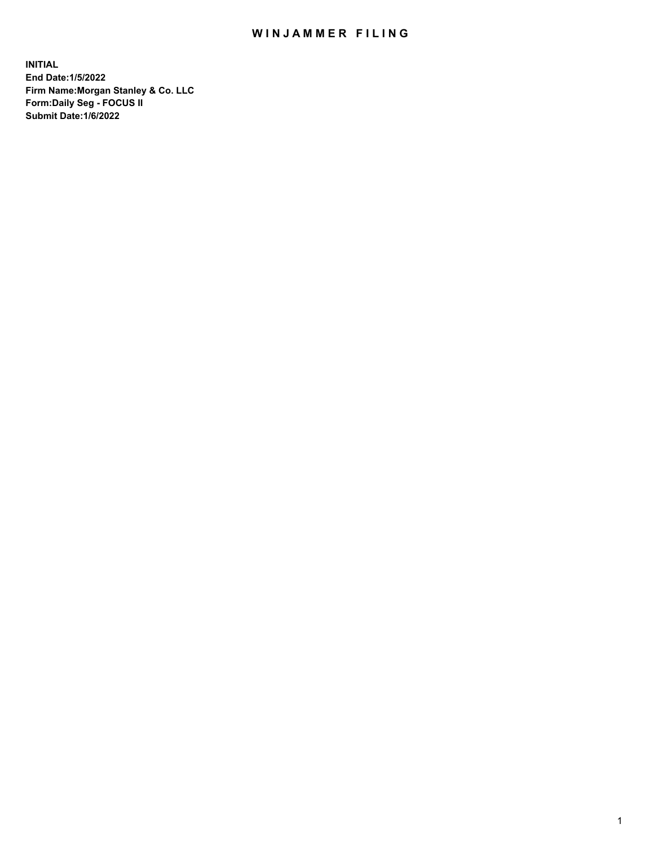## WIN JAMMER FILING

**INITIAL End Date:1/5/2022 Firm Name:Morgan Stanley & Co. LLC Form:Daily Seg - FOCUS II Submit Date:1/6/2022**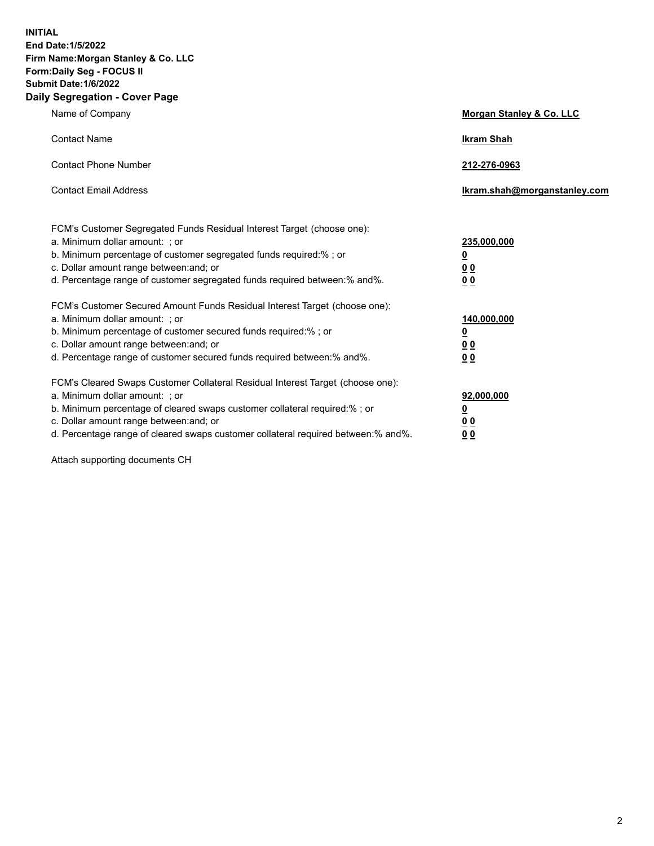**INITIAL End Date:1/5/2022 Firm Name:Morgan Stanley & Co. LLC Form:Daily Seg - FOCUS II Submit Date:1/6/2022 Daily Segregation - Cover Page**

| Name of Company                                                                                                                                                                                                                                                                                                                | <b>Morgan Stanley &amp; Co. LLC</b>                    |
|--------------------------------------------------------------------------------------------------------------------------------------------------------------------------------------------------------------------------------------------------------------------------------------------------------------------------------|--------------------------------------------------------|
| <b>Contact Name</b>                                                                                                                                                                                                                                                                                                            | <b>Ikram Shah</b>                                      |
| <b>Contact Phone Number</b>                                                                                                                                                                                                                                                                                                    | 212-276-0963                                           |
| <b>Contact Email Address</b>                                                                                                                                                                                                                                                                                                   | Ikram.shah@morganstanley.com                           |
| FCM's Customer Segregated Funds Residual Interest Target (choose one):<br>a. Minimum dollar amount: : or<br>b. Minimum percentage of customer segregated funds required:%; or<br>c. Dollar amount range between: and; or<br>d. Percentage range of customer segregated funds required between:% and%.                          | 235,000,000<br><u>0</u><br><u>00</u><br><u>00</u>      |
| FCM's Customer Secured Amount Funds Residual Interest Target (choose one):<br>a. Minimum dollar amount: ; or<br>b. Minimum percentage of customer secured funds required:%; or<br>c. Dollar amount range between: and; or<br>d. Percentage range of customer secured funds required between:% and%.                            | 140,000,000<br><u>0</u><br><u>00</u><br>0 <sub>0</sub> |
| FCM's Cleared Swaps Customer Collateral Residual Interest Target (choose one):<br>a. Minimum dollar amount: ; or<br>b. Minimum percentage of cleared swaps customer collateral required:% ; or<br>c. Dollar amount range between: and; or<br>d. Percentage range of cleared swaps customer collateral required between:% and%. | 92,000,000<br><u>0</u><br><u>00</u><br>00              |

Attach supporting documents CH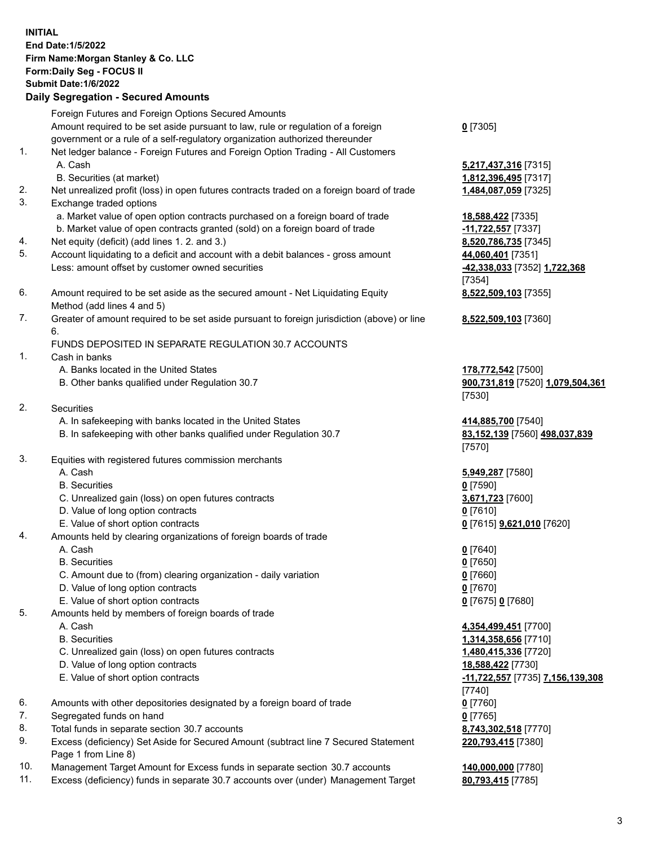|          | <b>INITIAL</b><br><b>End Date:1/5/2022</b><br>Firm Name: Morgan Stanley & Co. LLC<br>Form: Daily Seg - FOCUS II<br>Submit Date: 1/6/2022<br><b>Daily Segregation - Secured Amounts</b> |                                                |
|----------|----------------------------------------------------------------------------------------------------------------------------------------------------------------------------------------|------------------------------------------------|
|          | Foreign Futures and Foreign Options Secured Amounts                                                                                                                                    |                                                |
|          | Amount required to be set aside pursuant to law, rule or regulation of a foreign<br>government or a rule of a self-regulatory organization authorized thereunder                       | $0$ [7305]                                     |
| 1.       | Net ledger balance - Foreign Futures and Foreign Option Trading - All Customers                                                                                                        |                                                |
|          | A. Cash                                                                                                                                                                                | 5,217,437,316 [7315]                           |
|          | B. Securities (at market)                                                                                                                                                              | 1,812,396,495 [7317]                           |
| 2.       | Net unrealized profit (loss) in open futures contracts traded on a foreign board of trade                                                                                              | 1,484,087,059 [7325]                           |
| 3.       | Exchange traded options<br>a. Market value of open option contracts purchased on a foreign board of trade                                                                              |                                                |
|          | b. Market value of open contracts granted (sold) on a foreign board of trade                                                                                                           | 18,588,422 [7335]<br>-11,722,557 [7337]        |
| 4.       | Net equity (deficit) (add lines 1. 2. and 3.)                                                                                                                                          | 8,520,786,735 [7345]                           |
| 5.       | Account liquidating to a deficit and account with a debit balances - gross amount                                                                                                      | 44,060,401 [7351]                              |
|          | Less: amount offset by customer owned securities                                                                                                                                       | -42,338,033 [7352] 1,722,368                   |
|          |                                                                                                                                                                                        | [7354]                                         |
| 6.       | Amount required to be set aside as the secured amount - Net Liquidating Equity                                                                                                         | 8,522,509,103 [7355]                           |
|          | Method (add lines 4 and 5)<br>Greater of amount required to be set aside pursuant to foreign jurisdiction (above) or line                                                              |                                                |
| 7.       | 6.                                                                                                                                                                                     | 8,522,509,103 [7360]                           |
|          | FUNDS DEPOSITED IN SEPARATE REGULATION 30.7 ACCOUNTS                                                                                                                                   |                                                |
| 1.       | Cash in banks                                                                                                                                                                          |                                                |
|          | A. Banks located in the United States                                                                                                                                                  | 178,772,542 [7500]                             |
|          | B. Other banks qualified under Regulation 30.7                                                                                                                                         | 900,731,819 [7520] 1,079,504,361               |
|          |                                                                                                                                                                                        | [7530]                                         |
| 2.       | <b>Securities</b><br>A. In safekeeping with banks located in the United States                                                                                                         | 414,885,700 [7540]                             |
|          | B. In safekeeping with other banks qualified under Regulation 30.7                                                                                                                     | 83,152,139 [7560] 498,037,839                  |
|          |                                                                                                                                                                                        | [7570]                                         |
| 3.       | Equities with registered futures commission merchants                                                                                                                                  |                                                |
|          | A. Cash                                                                                                                                                                                | 5,949,287 [7580]                               |
|          | <b>B.</b> Securities                                                                                                                                                                   | $0$ [7590]                                     |
|          | C. Unrealized gain (loss) on open futures contracts                                                                                                                                    | 3,671,723 [7600]                               |
|          | D. Value of long option contracts<br>E. Value of short option contracts                                                                                                                | $0$ [7610]<br>0 [7615] <b>9,621,010</b> [7620] |
| 4.       | Amounts held by clearing organizations of foreign boards of trade                                                                                                                      |                                                |
|          | A. Cash                                                                                                                                                                                | $0$ [7640]                                     |
|          | <b>B.</b> Securities                                                                                                                                                                   | $0$ [7650]                                     |
|          | C. Amount due to (from) clearing organization - daily variation                                                                                                                        | $0$ [7660]                                     |
|          | D. Value of long option contracts                                                                                                                                                      | 0 <sup>[7670]</sup>                            |
| 5.       | E. Value of short option contracts<br>Amounts held by members of foreign boards of trade                                                                                               | 0 [7675] 0 [7680]                              |
|          | A. Cash                                                                                                                                                                                | 4,354,499,451 [7700]                           |
|          | <b>B.</b> Securities                                                                                                                                                                   | 1,314,358,656 [7710]                           |
|          | C. Unrealized gain (loss) on open futures contracts                                                                                                                                    | 1,480,415,336 [7720]                           |
|          | D. Value of long option contracts                                                                                                                                                      | 18,588,422 [7730]                              |
|          | E. Value of short option contracts                                                                                                                                                     | -11,722,557 [7735] 7,156,139,308               |
|          |                                                                                                                                                                                        | [7740]                                         |
| 6.<br>7. | Amounts with other depositories designated by a foreign board of trade<br>Segregated funds on hand                                                                                     | $0$ [7760]                                     |
| 8.       | Total funds in separate section 30.7 accounts                                                                                                                                          | $0$ [7765]<br>8,743,302,518 [7770]             |
| 9.       | Excess (deficiency) Set Aside for Secured Amount (subtract line 7 Secured Statement                                                                                                    | 220,793,415 [7380]                             |

- 9. Excess (deficiency) Set Aside for Secured Amount (subtract line 7 Secured Statement Page 1 from Line 8)
- 10. Management Target Amount for Excess funds in separate section 30.7 accounts **140,000,000** [7780]
- 11. Excess (deficiency) funds in separate 30.7 accounts over (under) Management Target **80,793,415** [7785]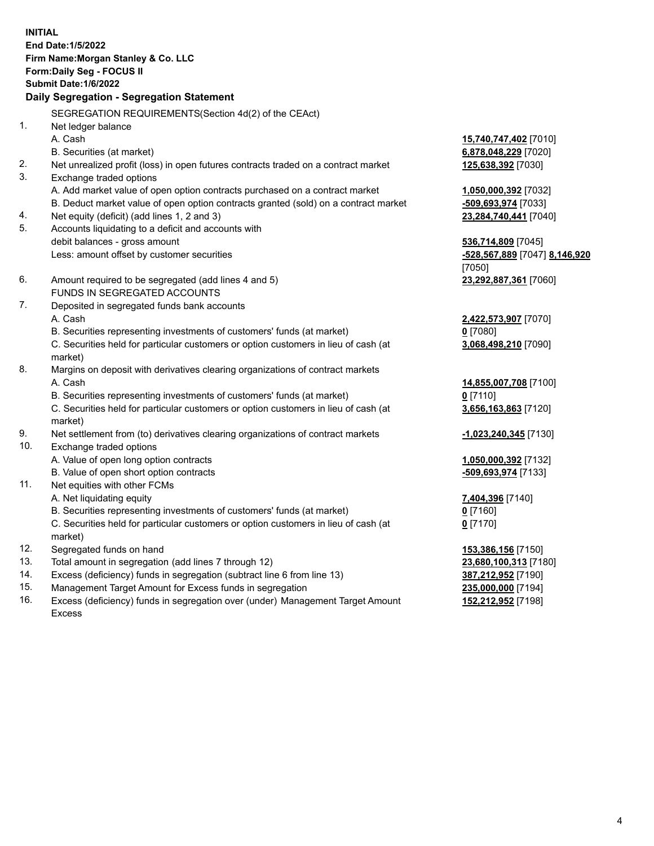**INITIAL End Date:1/5/2022 Firm Name:Morgan Stanley & Co. LLC Form:Daily Seg - FOCUS II Submit Date:1/6/2022 Daily Segregation - Segregation Statement** SEGREGATION REQUIREMENTS(Section 4d(2) of the CEAct) 1. Net ledger balance A. Cash **15,740,747,402** [7010] B. Securities (at market) **6,878,048,229** [7020] 2. Net unrealized profit (loss) in open futures contracts traded on a contract market **125,638,392** [7030] 3. Exchange traded options A. Add market value of open option contracts purchased on a contract market **1,050,000,392** [7032] B. Deduct market value of open option contracts granted (sold) on a contract market **-509,693,974** [7033] 4. Net equity (deficit) (add lines 1, 2 and 3) **23,284,740,441** [7040] 5. Accounts liquidating to a deficit and accounts with debit balances - gross amount **536,714,809** [7045] Less: amount offset by customer securities **-528,567,889** [7047] **8,146,920** [7050] 6. Amount required to be segregated (add lines 4 and 5) **23,292,887,361** [7060] FUNDS IN SEGREGATED ACCOUNTS 7. Deposited in segregated funds bank accounts A. Cash **2,422,573,907** [7070] B. Securities representing investments of customers' funds (at market) **0** [7080] C. Securities held for particular customers or option customers in lieu of cash (at market) **3,068,498,210** [7090] 8. Margins on deposit with derivatives clearing organizations of contract markets A. Cash **14,855,007,708** [7100] B. Securities representing investments of customers' funds (at market) **0** [7110] C. Securities held for particular customers or option customers in lieu of cash (at market) **3,656,163,863** [7120] 9. Net settlement from (to) derivatives clearing organizations of contract markets **-1,023,240,345** [7130] 10. Exchange traded options A. Value of open long option contracts **1,050,000,392** [7132] B. Value of open short option contracts **-509,693,974** [7133] 11. Net equities with other FCMs A. Net liquidating equity **7,404,396** [7140] B. Securities representing investments of customers' funds (at market) **0** [7160] C. Securities held for particular customers or option customers in lieu of cash (at market) **0** [7170] 12. Segregated funds on hand **153,386,156** [7150] 13. Total amount in segregation (add lines 7 through 12) **23,680,100,313** [7180] 14. Excess (deficiency) funds in segregation (subtract line 6 from line 13) **387,212,952** [7190] 15. Management Target Amount for Excess funds in segregation **235,000,000** [7194]

16. Excess (deficiency) funds in segregation over (under) Management Target Amount Excess

**152,212,952** [7198]